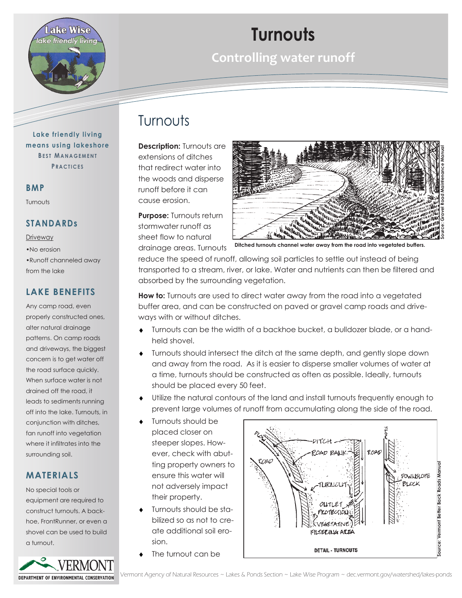

# **Turnouts**

**Controlling water runoff** 

### Turnouts

**Description: Turnouts are** extensions of ditches that redirect water into the woods and disperse runoff before it can cause erosion.

**Purpose:** Turnouts return stormwater runoff as sheet flow to natural drainage areas. Turnouts

**Ditched turnouts channel water away from the road into vegetated buffers.**

reduce the speed of runoff, allowing soil particles to settle out instead of being transported to a stream, river, or lake. Water and nutrients can then be filtered and absorbed by the surrounding vegetation.

**How to:** Turnouts are used to direct water away from the road into a vegetated buffer area, and can be constructed on paved or gravel camp roads and driveways with or without ditches.

- Turnouts can be the width of a backhoe bucket, a bulldozer blade, or a handheld shovel.
- Turnouts should intersect the ditch at the same depth, and gently slope down and away from the road. As it is easier to disperse smaller volumes of water at a time, turnouts should be constructed as often as possible. Ideally, turnouts should be placed every 50 feet.
- Utilize the natural contours of the land and install turnouts frequently enough to prevent large volumes of runoff from accumulating along the side of the road.
- Turnouts should be placed closer on steeper slopes. However, check with abutting property owners to ensure this water will not adversely impact their property.
- Turnouts should be stabilized so as not to create additional soil erosion.
- The turnout can be



**Lake friendly living means using lakeshore BEST MANAGEMENT P R A C T I C E S**

#### **BMP**

Turnouts

#### **STANDARDs**

#### Driveway

•No erosion

•Runoff channeled away from the lake

#### **LAKE BENEFITS**

Any camp road, even properly constructed ones, alter natural drainage patterns. On camp roads and driveways, the biggest concern is to get water off the road surface quickly. When surface water is not drained off the road, it leads to sediments running off into the lake. Turnouts, in conjunction with ditches, fan runoff into vegetation where it infiltrates into the surrounding soil.

### **MATERIALS**

No special tools or equipment are required to construct turnouts. A backhoe, FrontRunner, or even a shovel can be used to build a turnout.